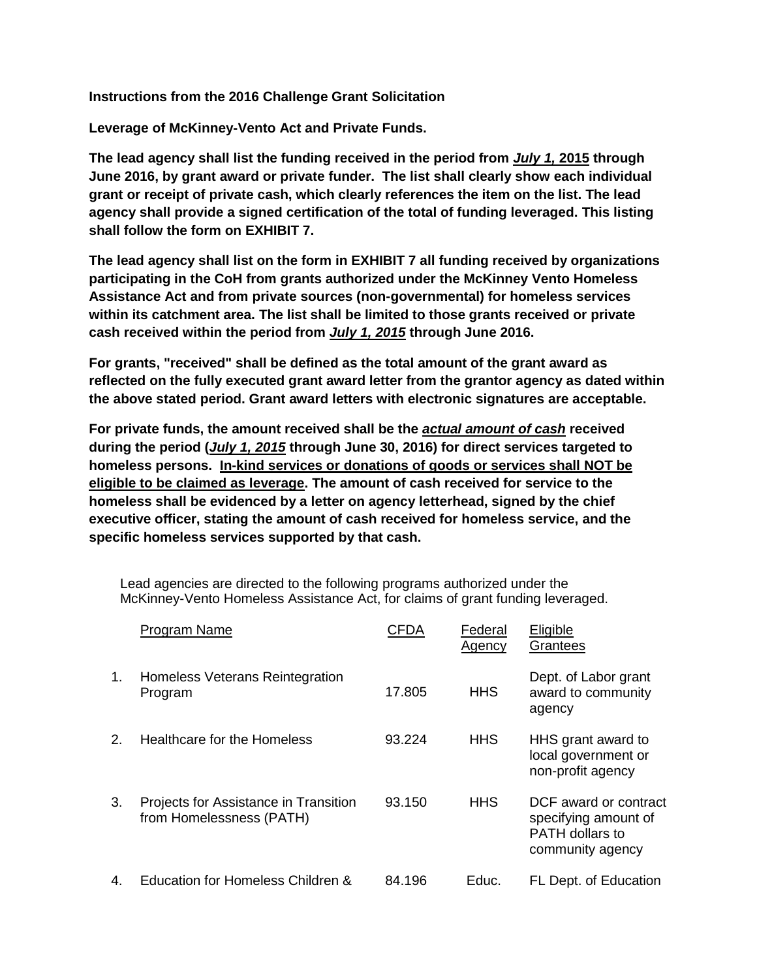**Instructions from the 2016 Challenge Grant Solicitation**

**Leverage of McKinney-Vento Act and Private Funds.** 

**The lead agency shall list the funding received in the period from** *July 1,* **2015 through June 2016, by grant award or private funder. The list shall clearly show each individual grant or receipt of private cash, which clearly references the item on the list. The lead agency shall provide a signed certification of the total of funding leveraged. This listing shall follow the form on EXHIBIT 7.** 

**The lead agency shall list on the form in EXHIBIT 7 all funding received by organizations participating in the CoH from grants authorized under the McKinney Vento Homeless Assistance Act and from private sources (non-governmental) for homeless services within its catchment area. The list shall be limited to those grants received or private cash received within the period from** *July 1, 2015* **through June 2016.** 

**For grants, "received" shall be defined as the total amount of the grant award as reflected on the fully executed grant award letter from the grantor agency as dated within the above stated period. Grant award letters with electronic signatures are acceptable.** 

**For private funds, the amount received shall be the** *actual amount of cash* **received during the period (***July 1, 2015* **through June 30, 2016) for direct services targeted to homeless persons. In-kind services or donations of goods or services shall NOT be eligible to be claimed as leverage. The amount of cash received for service to the homeless shall be evidenced by a letter on agency letterhead, signed by the chief executive officer, stating the amount of cash received for homeless service, and the specific homeless services supported by that cash.** 

Lead agencies are directed to the following programs authorized under the McKinney-Vento Homeless Assistance Act, for claims of grant funding leveraged.

|             | Program Name                                                      | CFDA   | Federal<br><b>Agency</b> | Eligible<br>Grantees                                                                        |
|-------------|-------------------------------------------------------------------|--------|--------------------------|---------------------------------------------------------------------------------------------|
| $1_{\cdot}$ | Homeless Veterans Reintegration<br>Program                        | 17.805 | <b>HHS</b>               | Dept. of Labor grant<br>award to community<br>agency                                        |
| 2.          | Healthcare for the Homeless                                       | 93.224 | <b>HHS</b>               | HHS grant award to<br>local government or<br>non-profit agency                              |
| 3.          | Projects for Assistance in Transition<br>from Homelessness (PATH) | 93.150 | <b>HHS</b>               | DCF award or contract<br>specifying amount of<br><b>PATH dollars to</b><br>community agency |
| 4.          | Education for Homeless Children &                                 | 84.196 | Educ.                    | FL Dept. of Education                                                                       |